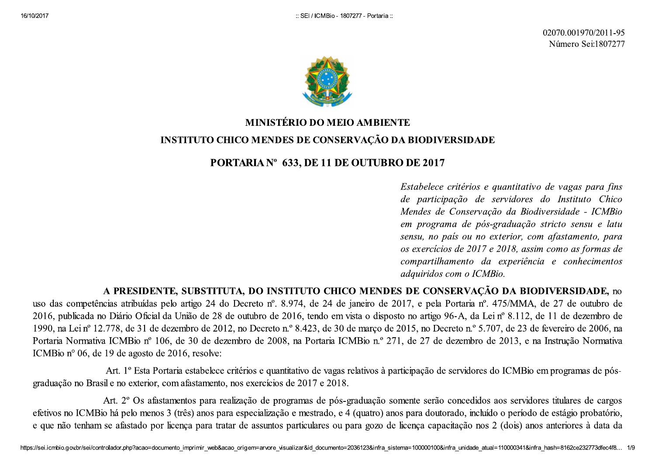

**EXECUTE CHOICE AND NOTE AND ACTUAL CONFIDENTITY (ADVISED)**<br> **EXECUTIVE CHOOD NUMBER IS CONFIDENTIFY (ADVISED)**<br> **EXECUTIVE CHOOD NUMBER IS CONFIDENTED**<br> **EXECUTIVE CHOOD NUMBER IS CONFIDENTED**<br> **INSTITUTE CHOOD NUMBER IS** 

efetivos no ICMI<br>e que não tenhar<br>https://sei.icmbio.gov.br/sei/co efetivos no ICME<br>e que não tenhan<br>https://sei.icmbio.gov.br/sei/co Art. 2° Os<br>efetivos no ICMBio há pelo r<br>e que não tenham se afastado<br>https://sei.icmbio.gov.br/sei/controlador.php?aca Art. 2° Os a<br>efetivos no ICMBio há pelo mer<br>e que não tenham se afastado p<br>https://sei.icmbio.gov.br/sei/controlador.php?acao=o Art. 2° Os afastamentos para realização de programas de pós-graduação somente serão concedidos aos servidores titulares de cargos efetivos no ICMBio há pelo menos 3 (três) anos para especialização e mestrado, e 4 (quatro) res de cargos<br>gio probatório,<br>pres à data da<br>2ce232773dfec4f8... 1/9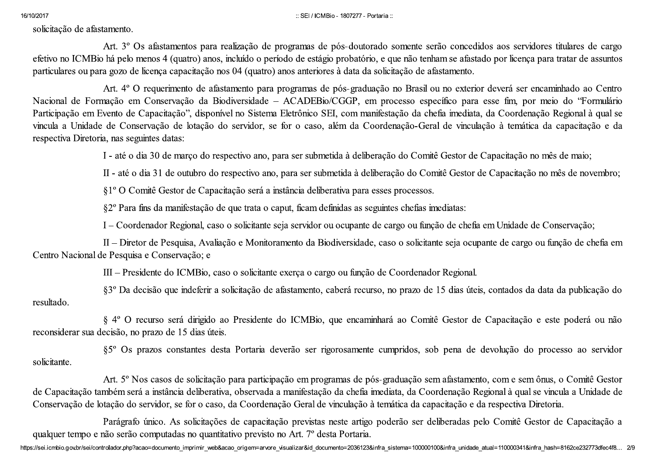16/10/2017<br>solicitação de a<br>efetivo no ICM<br>particulares ou 16/10/2017<br>solicitação de afa<br>efetivo no ICMB<br>particulares ou pa 16/10/2017<br>
solicitação de afastamento.<br>
Art. 3º Os afastamentos para realização de programas de pós-douto<br>
efetivo no ICMBio há pelo menos 4 (quatro) anos, incluído o período de estágio probatóri<br>
particulares ou para goz EDITICMBIO - 1807277 - Prospective de programas de pós-doutor<br>Lo o período de estágio probatório<br>quatro) anos anteriores à data da ELI/ICMBio - 1807277 - Por:<br>
sel/ICMBio - 1807277 - Por<br>
dio de programas de pós-doutora<br>
dio o período de estágio probatório<br>
quatro) anos anteriores à data da s EDITEMBIO - 1807277 - Portaria ::<br>
o de programas de pós-doutorado somente serão co<br>
o período de estágio probatório, e que não tenham s<br>
uatro) anos anteriores à data da solicitação de afastan

war;<br>solaristic constraints and the state of the state of the state of the state of the constraint of the state of the state of the state of the state of the state of the state of the state of the state of the state of t

de Capacitação<br>Conservação de<br>qualquer tempo e<br>https://sei.icmbio.gov.br/sei/co de Capacitação ta<br>Conservação de l<br>qualquer tempo e<br>https://sei.icmbio.gov.br/sei/co de Capacitação também será<br>Conservação de lotação do s<br>Parágrafo<br>qualquer tempo e não serão c<br>https://sei.icmbio.gov.br/sei/controlador.php?aca de Capacitação também será a<br>Conservação de lotação do serv<br>Parágrafo ún<br>qualquer tempo e não serão con<br>https://sei.icmbio.gov.br/sei/controlador.php?acao=o de Capacitação também será a instância deliberativa, observada a manifestação da chefia imediata, da Coordenação Regional à qual se vincula a Unidade de<br>Conservação de lotação do servidor, se for o caso, da Coordenação Ger a Unidade de<br>Capacitação a<br>2ce232773dfec4f8... 2/9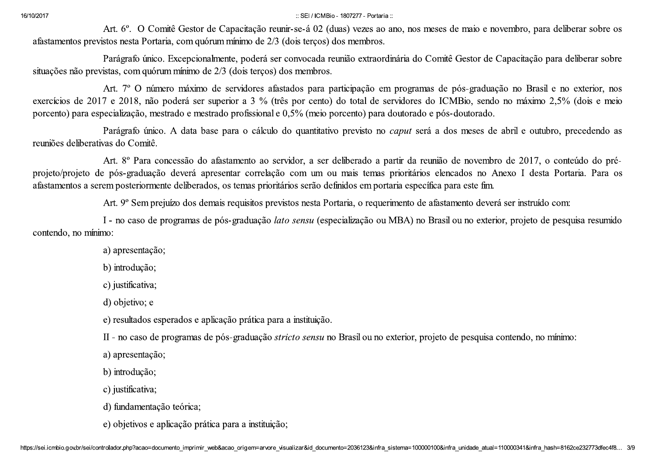16/10/2017<br>afastamentos p<br>situações não p 16/10/2017<br>afastamentos pre<br>situações não pre 16/10/2017<br>
Art. 6°. O Comitê Gestor de Capacitação reunir-se-á 02 (duas) vezes<br>
afastamentos previstos nesta Portaria, com quórum mínimo de 2/3 (dois terços) dos memb<br>
Parágrafo único. Excepcionalmente, poderá ser convoca ELI/ICMBio - 1807277 - Propis de 2/3 (dois terços)<br>de 2/3 (dois terços) dos membroderá ser convocada reunião extra<br>terços) dos membros.  $3.5E1/10MB$ io - 1807277 - Por<br>
1930 reunir-se-á 02 (duas) vezes<br>
1930 de 2/3 (dois terços) dos membro<br>
1941 derá ser convocada reunião extra<br>
1941 terços) dos membros. :: SEI/ICMBio - 1807277 - Portaria ::<br>cão reunir-se-á 02 (duas) vezes ao ano, nos meses d<br>de 2/3 (dois terços) dos membros.<br>lerá ser convocada reunião extraordinária do Comitê<br>erços) dos membros.

6027<br>
All C. O Comid Generals de Septembe contra de la propiesa con estado comisión de la constitución de la constitución de la constitución de la constitución de la constitución de la constitución de la constitución de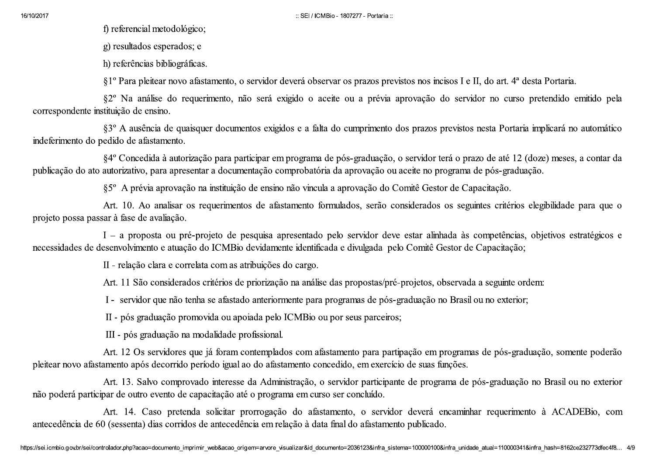16/10/2017<br>
f) referencial metodológico;<br>
g) resultados esperados; e<br>
h) referências bibliográficas.  $\therefore \text{SE1} / \text{ICMBio - 1807277 - PC}$  $\therefore \text{SEI} / \text{ICMBio - 1807277 - Por}$  $\therefore$  SEI / ICMBio - 1807277 - Portaria  $\therefore$ <br>

6-2672<br>
2) socialized a considerability considerations of the consideration of the matrix of the socialized and<br>
2) socialized a specific result of the system of the system of the constraints in the system of the system

não poderá partic<br>antecedência de<br>https://sei.icmbio.gov.br/sei/co não poderá partic<br>antecedência de 6<br>https://sei.icmbio.gov.br/sei/co não poderá participar de outr<br>Art. 14.<br>antecedência de 60 (sessenta)<br>https://sei.icmbio.gov.br/sei/controlador.php?aca não poderá participar de outro e<br>Art. 14. Ca<br>antecedência de 60 (sessenta) d<br>https://sei.icmbio.gov.br/sei/controlador.php?acao=e não poderá participar de outro evento de capacitação até o programa em curso ser concluído.<br>Art. 14. Caso pretenda solicitar prorrogação do afastamento, o servidor deverá encaminhar requerimento à ACADEBio, com<br>antecedênci .<br>NDEBio, com<br>2ce232773dfec4f8... 4/9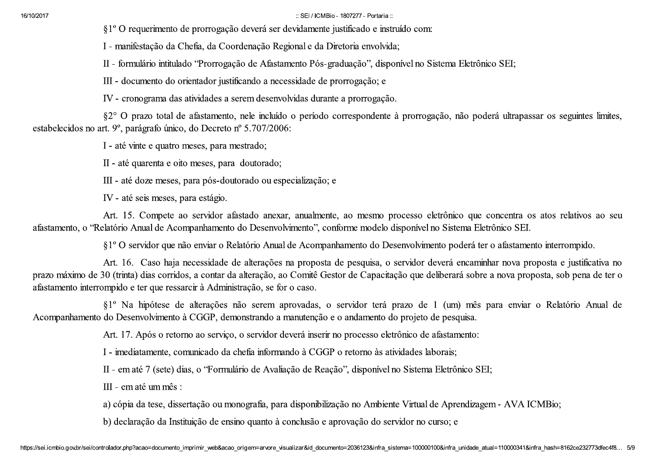:: SEI / ICMBio - 1807277 - Portaria::

§1<sup>°</sup> O requerimento de prorrogação deverá ser devidamente justificado e instruído com:

I - manifestação da Chefia, da Coordenação Regional e da Diretoria envolvida;

II - formulário intitulado "Prorrogação de Afastamento Pós-graduação", disponível no Sistema Eletrônico SEI;

III - documento do orientador justificando a necessidade de prorrogação; e

IV - cronograma das atividades a serem desenvolvidas durante a prorrogação.

§2° O prazo total de afastamento, nele incluído o período correspondente à prorrogação, não poderá ultrapassar os seguintes limites, estabelecidos no art. 9º, parágrafo único, do Decreto nº 5.707/2006:

I - até vinte e quatro meses, para mestrado;

II - até quarenta e oito meses, para doutorado;

III - até doze meses, para pós-doutorado ou especialização; e

IV - até seis meses, para estágio.

Art. 15. Compete ao servidor afastado anexar, anualmente, ao mesmo processo eletrônico que concentra os atos relativos ao seu afastamento, o "Relatório Anual de Acompanhamento do Desenvolvimento", conforme modelo disponível no Sistema Eletrônico SEI.

§1º O servidor que não enviar o Relatório Anual de Acompanhamento do Desenvolvimento poderá ter o afastamento interrompido.

Art. 16. Caso haja necessidade de alterações na proposta de pesquisa, o servidor deverá encaminhar nova proposta e justificativa no prazo máximo de 30 (trinta) dias corridos, a contar da alteração, ao Comitê Gestor de Capacitação que deliberará sobre a nova proposta, sob pena de ter o afastamento interrompido e ter que ressarcir à Administração, se for o caso.

§1<sup>°</sup> Na hipótese de alterações não serem aprovadas, o servidor terá prazo de 1 (um) mês para enviar o Relatório Anual de Acompanhamento do Desenvolvimento à CGGP, demonstrando a manutenção e o andamento do projeto de pesquisa.

Art. 17. Após o retorno ao serviço, o servidor deverá inserir no processo eletrônico de afastamento:

I - imediatamente, comunicado da chefia informando à CGGP o retorno às atividades laborais;

II - em até 7 (sete) dias, o "Formulário de Avaliação de Reação", disponível no Sistema Eletrônico SEI;

III - em até um mês :

a) cópia da tese, dissertação ou monografia, para disponibilização no Ambiente Virtual de Aprendizagem - AVA ICMBio;

b) declaração da Instituição de ensino quanto à conclusão e aprovação do servidor no curso; e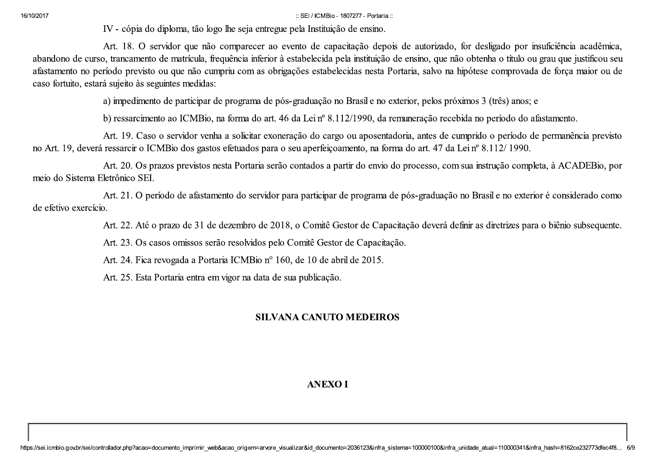:: SEI / ICMBio - 1807277 - Portaria ::

IV - cópia do diploma, tão logo lhe seja entregue pela Instituição de ensino.

Art. 18. O servidor que não comparecer ao evento de capacitação depois de autorizado, for desligado por insuficiência acadêmica, abandono de curso, trancamento de matrícula, frequência inferior à estabelecida pela instituição de ensino, que não obtenha o título ou grau que justificou seu afastamento no período previsto ou que não cumpriu com as obrigações estabelecidas nesta Portaria, salvo na hipótese comprovada de força maior ou de caso fortuito, estará sujeito às seguintes medidas:

a) impedimento de participar de programa de pós-graduação no Brasil e no exterior, pelos próximos 3 (três) anos; e

b) ressarcimento ao ICMBio, na forma do art. 46 da Lei nº 8.112/1990, da remuneração recebida no período do afastamento.

Art. 19. Caso o servidor venha a solicitar exoneração do cargo ou aposentadoria, antes de cumprido o período de permanência previsto no Art. 19, deverá ressarcir o ICMBio dos gastos efetuados para o seu aperfeicoamento, na forma do art. 47 da Lei nº 8.112/1990.

Art. 20. Os prazos previstos nesta Portaria serão contados a partir do envio do processo, com sua instrução completa, à ACADEBio, por mejo do Sistema Eletrônico SEL

Art. 21. O período de afastamento do servidor para participar de programa de pós-graduação no Brasil e no exterior é considerado como de efetivo exercício.

Art. 22. Até o prazo de 31 de dezembro de 2018, o Comitê Gestor de Capacitação deverá definir as diretrizes para o biênio subsequente.

Art. 23. Os casos omissos serão resolvidos pelo Comitê Gestor de Capacitação.

Art. 24. Fica revogada a Portaria ICMBio nº 160, de 10 de abril de 2015.

Art. 25. Esta Portaria entra em vigor na data de sua publicação.

## **SILVANA CANUTO MEDEIROS**

## **ANEXOI**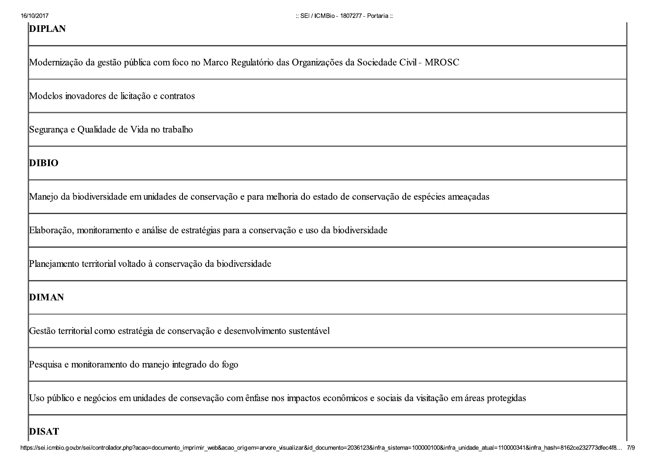| 16/10/2017<br><b>DIPLAN</b> | :: SEI / ICMBio - 1807277 - Portaria ::                                                                                        |
|-----------------------------|--------------------------------------------------------------------------------------------------------------------------------|
|                             | Modernização da gestão pública com foco no Marco Regulatório das Organizações da Sociedade Civil - MROSC                       |
|                             | Modelos inovadores de licitação e contratos                                                                                    |
|                             | Segurança e Qualidade de Vida no trabalho                                                                                      |
| <b>DIBIO</b>                |                                                                                                                                |
|                             | Manejo da biodiversidade em unidades de conservação e para melhoria do estado de conservação de espécies ameaçadas             |
|                             | Elaboração, monitoramento e análise de estratégias para a conservação e uso da biodiversidade                                  |
|                             | Planejamento territorial voltado à conservação da biodiversidade                                                               |
| <b>DIMAN</b>                |                                                                                                                                |
|                             | Gestão territorial como estratégia de conservação e desenvolvimento sustentável                                                |
|                             | Pesquisa e monitoramento do manejo integrado do fogo                                                                           |
|                             | Uso público e negócios em unidades de consevação com ênfase nos impactos econômicos e sociais da visitação em áreas protegidas |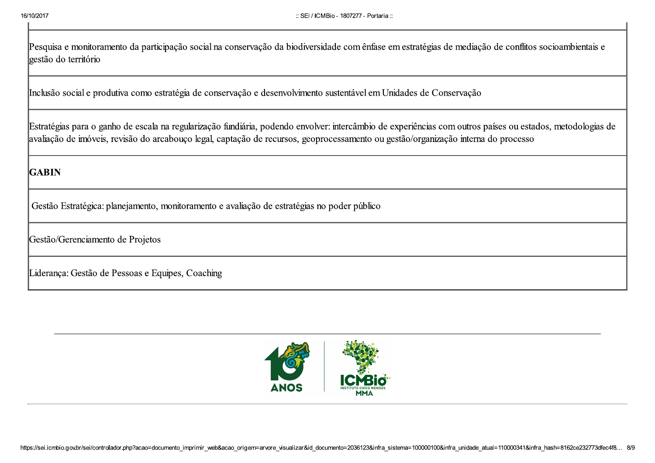16/10/2017<br>Pesquisa e moni<br>gestão do territó 16/10/2017<br>Pesquisa e monito<br>gestão do territóri 16/10/2017<br>
Esquisa e monitoramento da participação social na conservação da biodiversidade com ên<br>
gestão do território ED / ICMBio - 1807277 - Production de la biodiversidade com <mark>ênf</mark>ration de la biodiversidade com <mark>ênfration de la biodiversidade com ênfration de la biodiversidade com ênfration de la biodiversidade com en la biodiversidad</mark> ED MEDIO - 1807277 - Portugal<br>Vação da biodiversidade com ênfa :: SEI / ICMBio - 1807277 - Portaria ::<br>ação da biodiversidade com ênfase em estratégias de

essaria<br>
response e monitos menos da participação social na conservação da brativersidade com énfore em estantegias de modiação lo comflios socioambremais e<br>
sessão da territória<br>
Inclusão social e produíbia como estrutogi